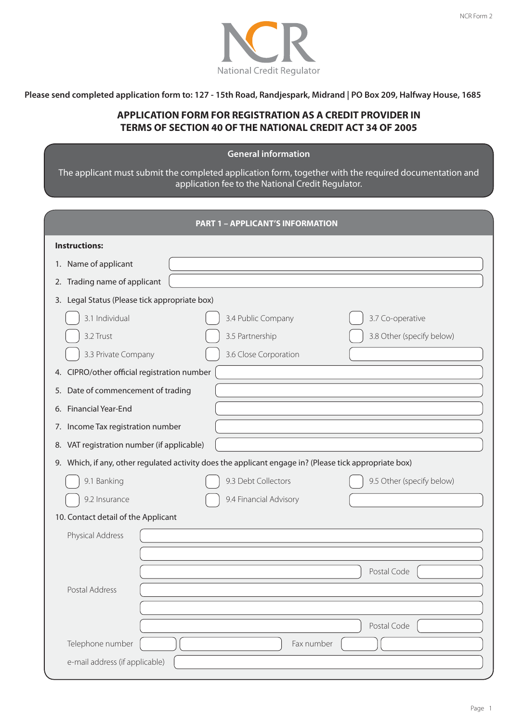

**Please send completed application form to: 127 - 15th Road, Randjespark, Midrand | PO Box 209, Halfway House, 1685**

### **APPLICATION FORM FOR REGISTRATION AS A CREDIT PROVIDER IN TERMS OF SECTION 40 OF THE NATIONAL CREDIT ACT 34 OF 2005**

### **General information-**

The applicant must submit the completed application form, together with the required documentation and application fee to the National Credit Regulator.

|                                               | <b>PART 1 - APPLICANT'S INFORMATION</b>                                                                |
|-----------------------------------------------|--------------------------------------------------------------------------------------------------------|
| <b>Instructions:</b>                          |                                                                                                        |
| 1. Name of applicant                          |                                                                                                        |
| Trading name of applicant<br>2.               |                                                                                                        |
| 3. Legal Status (Please tick appropriate box) |                                                                                                        |
| 3.1 Individual                                | 3.7 Co-operative<br>3.4 Public Company                                                                 |
| 3.2 Trust                                     | 3.5 Partnership<br>3.8 Other (specify below)                                                           |
| 3.3 Private Company                           | 3.6 Close Corporation                                                                                  |
| 4. CIPRO/other official registration number   |                                                                                                        |
| Date of commencement of trading<br>5.         |                                                                                                        |
| Financial Year-End<br>6.                      |                                                                                                        |
| Income Tax registration number<br>7.          |                                                                                                        |
| 8. VAT registration number (if applicable)    |                                                                                                        |
|                                               | 9. Which, if any, other regulated activity does the applicant engage in? (Please tick appropriate box) |
| 9.1 Banking                                   | 9.3 Debt Collectors<br>9.5 Other (specify below)                                                       |
| 9.2 Insurance                                 | 9.4 Financial Advisory                                                                                 |
| 10. Contact detail of the Applicant           |                                                                                                        |
| Physical Address                              |                                                                                                        |
|                                               |                                                                                                        |
|                                               | Postal Code                                                                                            |
| Postal Address                                |                                                                                                        |
|                                               |                                                                                                        |
|                                               | Postal Code                                                                                            |
| Telephone number                              | Fax number                                                                                             |
| e-mail address (if applicable)                |                                                                                                        |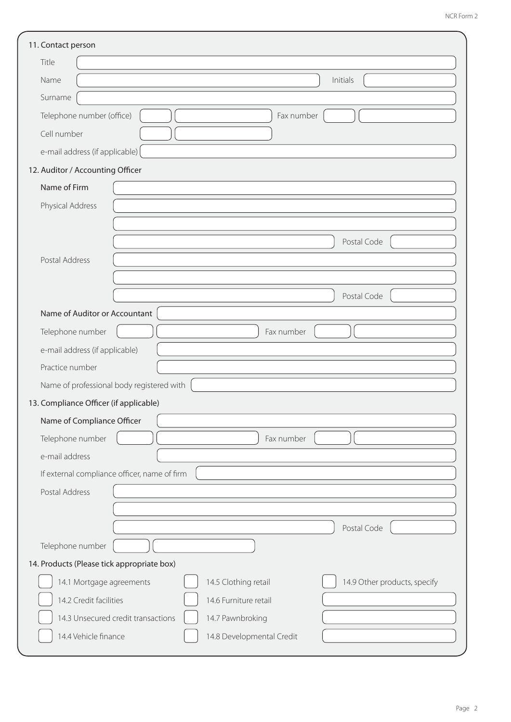| 11. Contact person                           |                                                      |  |  |
|----------------------------------------------|------------------------------------------------------|--|--|
| Title                                        |                                                      |  |  |
| Name                                         | Initials                                             |  |  |
| Surname                                      |                                                      |  |  |
| Telephone number (office)                    | Fax number                                           |  |  |
| Cell number                                  |                                                      |  |  |
| e-mail address (if applicable)               |                                                      |  |  |
| 12. Auditor / Accounting Officer             |                                                      |  |  |
| Name of Firm                                 |                                                      |  |  |
| Physical Address                             |                                                      |  |  |
|                                              |                                                      |  |  |
|                                              | Postal Code                                          |  |  |
| Postal Address                               |                                                      |  |  |
|                                              |                                                      |  |  |
|                                              | Postal Code                                          |  |  |
| Name of Auditor or Accountant                |                                                      |  |  |
| Telephone number                             | Fax number                                           |  |  |
| e-mail address (if applicable)               |                                                      |  |  |
| Practice number                              |                                                      |  |  |
| Name of professional body registered with    |                                                      |  |  |
| 13. Compliance Officer (if applicable)       |                                                      |  |  |
| Name of Compliance Officer                   |                                                      |  |  |
| Telephone number                             | Fax number                                           |  |  |
| e-mail address                               |                                                      |  |  |
| If external compliance officer, name of firm |                                                      |  |  |
| Postal Address                               |                                                      |  |  |
|                                              |                                                      |  |  |
|                                              | Postal Code                                          |  |  |
| Telephone number                             |                                                      |  |  |
| 14. Products (Please tick appropriate box)   |                                                      |  |  |
| 14.1 Mortgage agreements                     | 14.5 Clothing retail<br>14.9 Other products, specify |  |  |
| 14.2 Credit facilities                       | 14.6 Furniture retail                                |  |  |
| 14.3 Unsecured credit transactions           | 14.7 Pawnbroking                                     |  |  |
| 14.4 Vehicle finance                         | 14.8 Developmental Credit                            |  |  |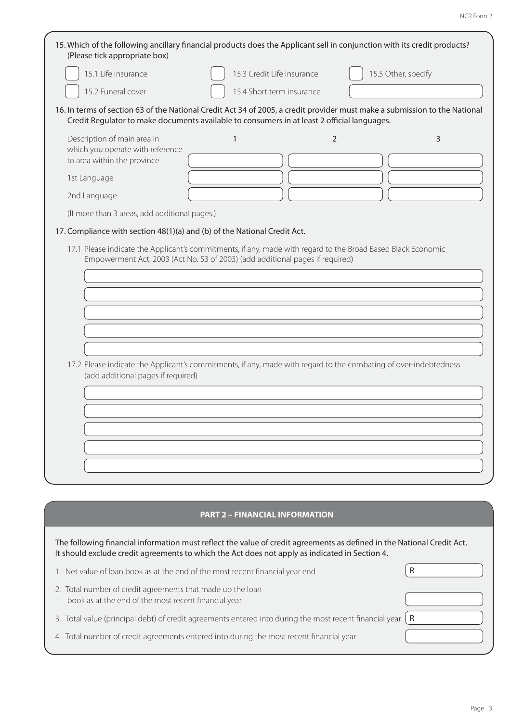| (Please tick appropriate box)                                                                  | 15. Which of the following ancillary financial products does the Applicant sell in conjunction with its credit products?                                                                                                  |                     |
|------------------------------------------------------------------------------------------------|---------------------------------------------------------------------------------------------------------------------------------------------------------------------------------------------------------------------------|---------------------|
| 15.1 Life Insurance                                                                            | 15.3 Credit Life Insurance                                                                                                                                                                                                | 15.5 Other, specify |
| 15.2 Funeral cover                                                                             | 15.4 Short term insurance                                                                                                                                                                                                 |                     |
|                                                                                                | 16. In terms of section 63 of the National Credit Act 34 of 2005, a credit provider must make a submission to the National<br>Credit Regulator to make documents available to consumers in at least 2 official languages. |                     |
| Description of main area in<br>which you operate with reference<br>to area within the province | $\overline{2}$<br>1                                                                                                                                                                                                       | 3                   |
| 1st Language                                                                                   |                                                                                                                                                                                                                           |                     |
| 2nd Language                                                                                   |                                                                                                                                                                                                                           |                     |
| (If more than 3 areas, add additional pages.)                                                  |                                                                                                                                                                                                                           |                     |
| 17. Compliance with section 48(1)(a) and (b) of the National Credit Act.                       |                                                                                                                                                                                                                           |                     |
| (add additional pages if required)                                                             | 17.2 Please indicate the Applicant's commitments, if any, made with regard to the combating of over-indebtedness                                                                                                          |                     |
|                                                                                                |                                                                                                                                                                                                                           |                     |
|                                                                                                | <b>PART 2 - FINANCIAL INFORMATION</b>                                                                                                                                                                                     |                     |
|                                                                                                | The following financial information must reflect the value of credit agreements as defined in the National Credit Act.<br>It should exclude credit agreements to which the Act does not apply as indicated in Section 4.  |                     |

| 1. Net value of loan book as at the end of the most recent financial year end                                      |   |
|--------------------------------------------------------------------------------------------------------------------|---|
| 2. Total number of credit agreements that made up the loan<br>book as at the end of the most recent financial year |   |
| 3. Total value (principal debt) of credit agreements entered into during the most recent financial year            | R |
| 4. Total number of credit agreements entered into during the most recent financial year                            |   |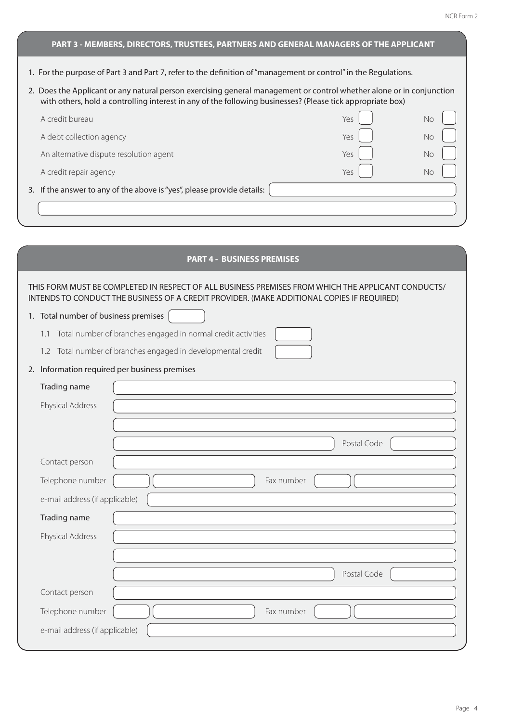# 1. For the purpose of Part 3 and Part 7, refer to the definition of "management or control" in the Regulations. 2. Does the Applicant or any natural person exercising general management or control whether alone or in conjunction with others, hold a controlling interest in any of the following businesses? (Please tick appropriate box) A credit bureau No. No. 2008. The state of the state of the state of the state of the state of the state of the state of the state of the state of the state of the state of the state of the state of the state of the state A debt collection agency No. No. 2012 12:00:00 No. 2012 12:00:00 No. 2012 12:00:00 No. 2012 12:00:00 No. 2012 1 An alternative dispute resolution agent Yes No A credit repair agency No and the state of the state of the state of the SNo No No No No No No No No No No No No 3. If the answer to any of the above is "yes", please provide details: **PART 3 - MEMBERS, DIRECTORS, TRUSTEES, PARTNERS AND GENERAL MANAGERS OF THE APPLICANT** THIS FORM MUST BE COMPLETED IN RESPECT OF ALL BUSINESS PREMISES FROM WHICH THE APPLICANT CONDUCTS/ INTENDS TO CONDUCT THE BUSINESS OF A CREDIT PROVIDER. (MAKE ADDITIONAL COPIES IF REQUIRED) 1. Total number of business premises 1.1 Total number of branches engaged in normal credit activities 1.2 Total number of branches engaged in developmental credit 2. Information required per business premises Trading name Physical Address Postal Code Contact person Telephone number  $\begin{bmatrix} 1 & 1 \\ 1 & 1 \end{bmatrix}$  Fax number e-mail address (if applicable) Trading name Physical Address Postal Code Contact person Telephone number  $\begin{bmatrix} 1 & 1 \\ 1 & 1 \end{bmatrix}$  Fax number **PART 4 - BUSINESS PREMISES**

e-mail address (if applicable)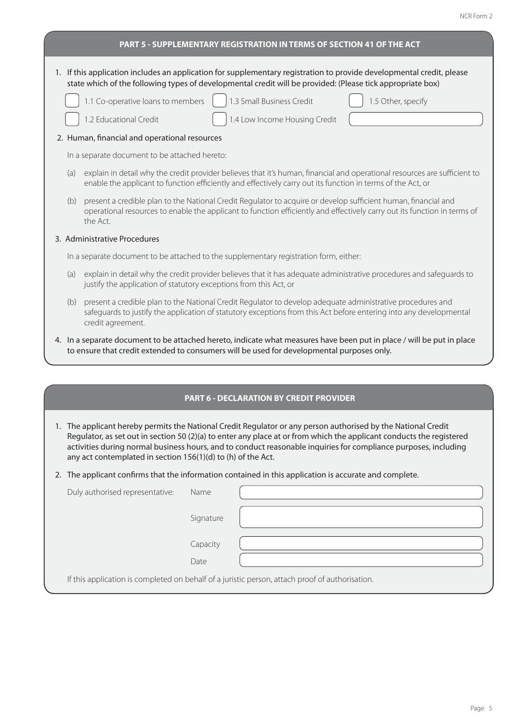## 1. If this application includes an application for supplementary registration to provide developmental credit, please state which of the following types of developmental credit will be provided: (Please tick appropriate box) 1.1 Co-operative loans to members 1.3 Small Business Credit 1.5 Other, specify 1.2 Educational Credit 1.4 Low Income Housing Credit 2. Human, financial and operational resources In a separate document to be attached hereto: (a) explain in detail why the credit provider believes that it's human, financial and operational resources are sufficient to enable the applicant to function efficiently and effectively carry out its function in terms of the Act, or (b) present a credible plan to the National Credit Regulator to acquire or develop sufficient human, financial and operational resources to enable the applicant to function efficiently and effectively carry out its function in terms of the Act. 3. Administrative Procedures In a separate document to be attached to the supplementary registration form, either: (a) explain in detail why the credit provider believes that it has adequate administrative procedures and safeguards to justify the application of statutory exceptions from this Act, or (b) present a credible plan to the National Credit Regulator to develop adequate administrative procedures and safeguards to justify the application of statutory exceptions from this Act before entering into any developmental credit agreement. 4. In a separate document to be attached hereto, indicate what measures have been put in place / will be put in place to ensure that credit extended to consumers will be used for developmental purposes only. **PART 5 - SUPPLEMENTARY REGISTRATION IN TERMS OF SECTION 41 OF THE ACT PART 6 - DECLARATION BY CREDIT PROVIDER**

1. The applicant hereby permits the National Credit Regulator or any person authorised by the National Credit Regulator, as set out in section 50 (2)(a) to enter any place at or from which the applicant conducts the registered activities during normal business hours, and to conduct reasonable inquiries for compliance purposes, including any act contemplated in section 156(1)(d) to (h) of the Act.

2. The applicant confirms that the information contained in this application is accurate and complete.

| Duly authorised representative: | Name      |                                                                                                 |
|---------------------------------|-----------|-------------------------------------------------------------------------------------------------|
|                                 | Signature |                                                                                                 |
|                                 | Capacity  |                                                                                                 |
|                                 | Date      |                                                                                                 |
|                                 |           | If this application is completed on behalf of a juristic person, attach proof of authorisation. |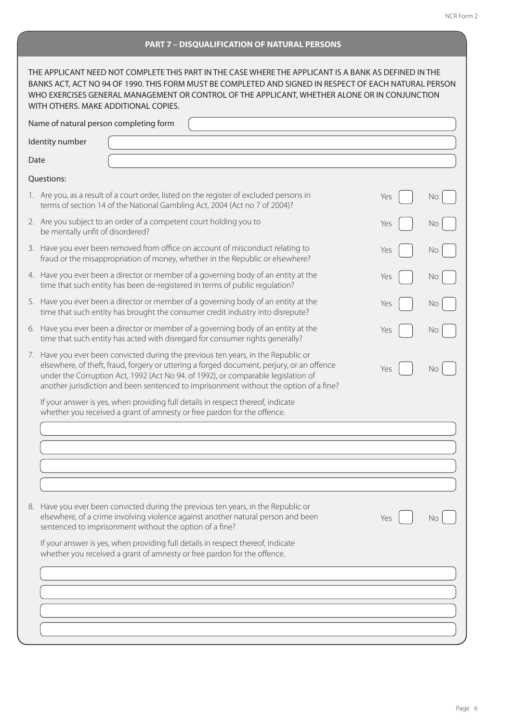#### **PART 7 – DISQUALIFICATION OF NATURAL PERSONS**

| THE APPLICANT NEED NOT COMPLETE THIS PART IN THE CASE WHERE THE APPLICANT IS A BANK AS DEFINED IN THE<br>BANKS ACT, ACT NO 94 OF 1990. THIS FORM MUST BE COMPLETED AND SIGNED IN RESPECT OF EACH NATURAL PERSON<br>WHO EXERCISES GENERAL MANAGEMENT OR CONTROL OF THE APPLICANT, WHETHER ALONE OR IN CONJUNCTION<br>WITH OTHERS, MAKE ADDITIONAL COPIES.     |     |    |
|--------------------------------------------------------------------------------------------------------------------------------------------------------------------------------------------------------------------------------------------------------------------------------------------------------------------------------------------------------------|-----|----|
| Name of natural person completing form                                                                                                                                                                                                                                                                                                                       |     |    |
| Identity number                                                                                                                                                                                                                                                                                                                                              |     |    |
| Date                                                                                                                                                                                                                                                                                                                                                         |     |    |
| Questions:                                                                                                                                                                                                                                                                                                                                                   |     |    |
| 1. Are you, as a result of a court order, listed on the register of excluded persons in<br>terms of section 14 of the National Gambling Act, 2004 (Act no 7 of 2004)?                                                                                                                                                                                        | Yes | Νo |
| 2. Are you subject to an order of a competent court holding you to<br>be mentally unfit of disordered?                                                                                                                                                                                                                                                       | Yes | No |
| 3. Have you ever been removed from office on account of misconduct relating to<br>fraud or the misappropriation of money, whether in the Republic or elsewhere?                                                                                                                                                                                              | Yes | No |
| 4. Have you ever been a director or member of a governing body of an entity at the<br>time that such entity has been de-registered in terms of public regulation?                                                                                                                                                                                            | Yes | No |
| 5. Have you ever been a director or member of a governing body of an entity at the<br>time that such entity has brought the consumer credit industry into disrepute?                                                                                                                                                                                         | Yes | No |
| 6. Have you ever been a director or member of a governing body of an entity at the<br>time that such entity has acted with disregard for consumer rights generally?                                                                                                                                                                                          | Yes | Νo |
| 7. Have you ever been convicted during the previous ten years, in the Republic or<br>elsewhere, of theft, fraud, forgery or uttering a forged document, perjury, or an offence<br>under the Corruption Act, 1992 (Act No 94. of 1992), or comparable legislation of<br>another jurisdiction and been sentenced to imprisonment without the option of a fine? | Yes | No |
| If your answer is yes, when providing full details in respect thereof, indicate<br>whether you received a grant of amnesty or free pardon for the offence.                                                                                                                                                                                                   |     |    |
|                                                                                                                                                                                                                                                                                                                                                              |     |    |
|                                                                                                                                                                                                                                                                                                                                                              |     |    |
|                                                                                                                                                                                                                                                                                                                                                              |     |    |
|                                                                                                                                                                                                                                                                                                                                                              |     |    |
| 8. Have you ever been convicted during the previous ten years, in the Republic or<br>elsewhere, of a crime involving violence against another natural person and been<br>sentenced to imprisonment without the option of a fine?                                                                                                                             | Yes |    |
| If your answer is yes, when providing full details in respect thereof, indicate<br>whether you received a grant of amnesty or free pardon for the offence.                                                                                                                                                                                                   |     |    |
|                                                                                                                                                                                                                                                                                                                                                              |     |    |
|                                                                                                                                                                                                                                                                                                                                                              |     |    |
|                                                                                                                                                                                                                                                                                                                                                              |     |    |
|                                                                                                                                                                                                                                                                                                                                                              |     |    |